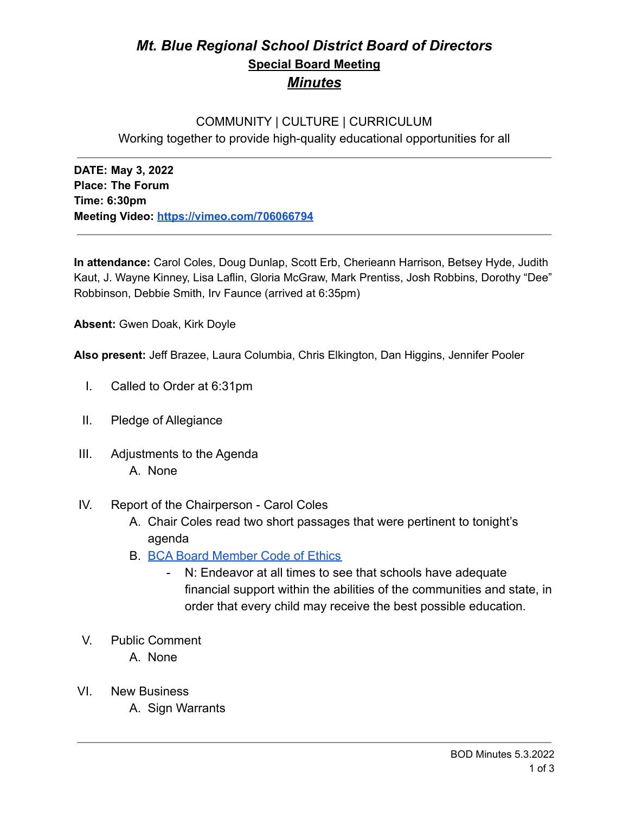# *Mt. Blue Regional School District Board of Directors* **Special Board Meeting** *Minutes*

## COMMUNITY | CULTURE | CURRICULUM Working together to provide high-quality educational opportunities for all

**DATE: May 3, 2022 Place: The Forum Time: 6:30pm Meeting Video: <https://vimeo.com/706066794>**

**In attendance:** Carol Coles, Doug Dunlap, Scott Erb, Cherieann Harrison, Betsey Hyde, Judith Kaut, J. Wayne Kinney, Lisa Laflin, Gloria McGraw, Mark Prentiss, Josh Robbins, Dorothy "Dee" Robbinson, Debbie Smith, Irv Faunce (arrived at 6:35pm)

**Absent:** Gwen Doak, Kirk Doyle

**Also present:** Jeff Brazee, Laura Columbia, Chris Elkington, Dan Higgins, Jennifer Pooler

- I. Called to Order at 6:31pm
- II. Pledge of Allegiance
- III. Adjustments to the Agenda A. None
- IV. Report of the Chairperson Carol Coles
	- A. Chair Coles read two short passages that were pertinent to tonight's agenda
	- B. [BCA Board Member Code of Ethics](https://cdn.branchcms.com/yeQ4XpK43n-1155/docs/district/board-of-directors/policy-manual/section-b/BCA-Board-Member-Code-of-Ethics.pdf)
		- N: Endeavor at all times to see that schools have adequate financial support within the abilities of the communities and state, in order that every child may receive the best possible education.
- V. Public Comment
	- A. None
- VI. New Business
	- A. Sign Warrants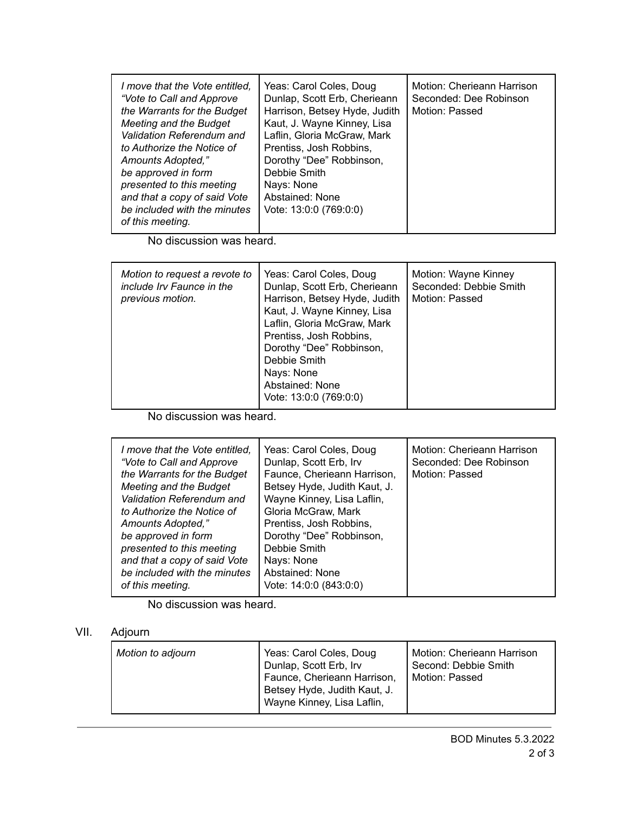| I move that the Vote entitled,<br>"Vote to Call and Approve<br>the Warrants for the Budget<br>Meeting and the Budget<br>Validation Referendum and<br>to Authorize the Notice of<br>Amounts Adopted,"<br>be approved in form<br>presented to this meeting<br>and that a copy of said Vote<br>be included with the minutes<br>of this meeting. | Yeas: Carol Coles, Doug<br>Dunlap, Scott Erb, Cherieann<br>Harrison, Betsey Hyde, Judith<br>Kaut, J. Wayne Kinney, Lisa<br>Laflin, Gloria McGraw, Mark<br>Prentiss, Josh Robbins,<br>Dorothy "Dee" Robbinson,<br>Debbie Smith<br>Nays: None<br>Abstained: None<br>Vote: 13:0:0 (769:0:0) | Motion: Cherieann Harrison<br>Seconded: Dee Robinson<br>Motion: Passed |
|----------------------------------------------------------------------------------------------------------------------------------------------------------------------------------------------------------------------------------------------------------------------------------------------------------------------------------------------|------------------------------------------------------------------------------------------------------------------------------------------------------------------------------------------------------------------------------------------------------------------------------------------|------------------------------------------------------------------------|
|----------------------------------------------------------------------------------------------------------------------------------------------------------------------------------------------------------------------------------------------------------------------------------------------------------------------------------------------|------------------------------------------------------------------------------------------------------------------------------------------------------------------------------------------------------------------------------------------------------------------------------------------|------------------------------------------------------------------------|

No discussion was heard.

| Motion to request a revote to<br>include Irv Faunce in the<br>previous motion. | Yeas: Carol Coles, Doug<br>Dunlap, Scott Erb, Cherieann<br>Harrison, Betsey Hyde, Judith<br>Kaut, J. Wayne Kinney, Lisa<br>Laflin, Gloria McGraw, Mark<br>Prentiss, Josh Robbins,<br>Dorothy "Dee" Robbinson,<br>Debbie Smith<br>Nays: None<br>Abstained: None<br>Vote: 13:0:0 (769:0:0) | Motion: Wayne Kinney<br>Seconded: Debbie Smith<br>Motion: Passed |
|--------------------------------------------------------------------------------|------------------------------------------------------------------------------------------------------------------------------------------------------------------------------------------------------------------------------------------------------------------------------------------|------------------------------------------------------------------|
|--------------------------------------------------------------------------------|------------------------------------------------------------------------------------------------------------------------------------------------------------------------------------------------------------------------------------------------------------------------------------------|------------------------------------------------------------------|

No discussion was heard.

No discussion was heard.

### VII. Adjourn

| Motion to adjourn | Yeas: Carol Coles, Doug<br>Dunlap, Scott Erb, Irv<br>Faunce, Cherieann Harrison,<br>Betsey Hyde, Judith Kaut, J.<br>Wayne Kinney, Lisa Laflin, | Motion: Cherieann Harrison<br>Second: Debbie Smith<br>Motion: Passed |
|-------------------|------------------------------------------------------------------------------------------------------------------------------------------------|----------------------------------------------------------------------|
|-------------------|------------------------------------------------------------------------------------------------------------------------------------------------|----------------------------------------------------------------------|